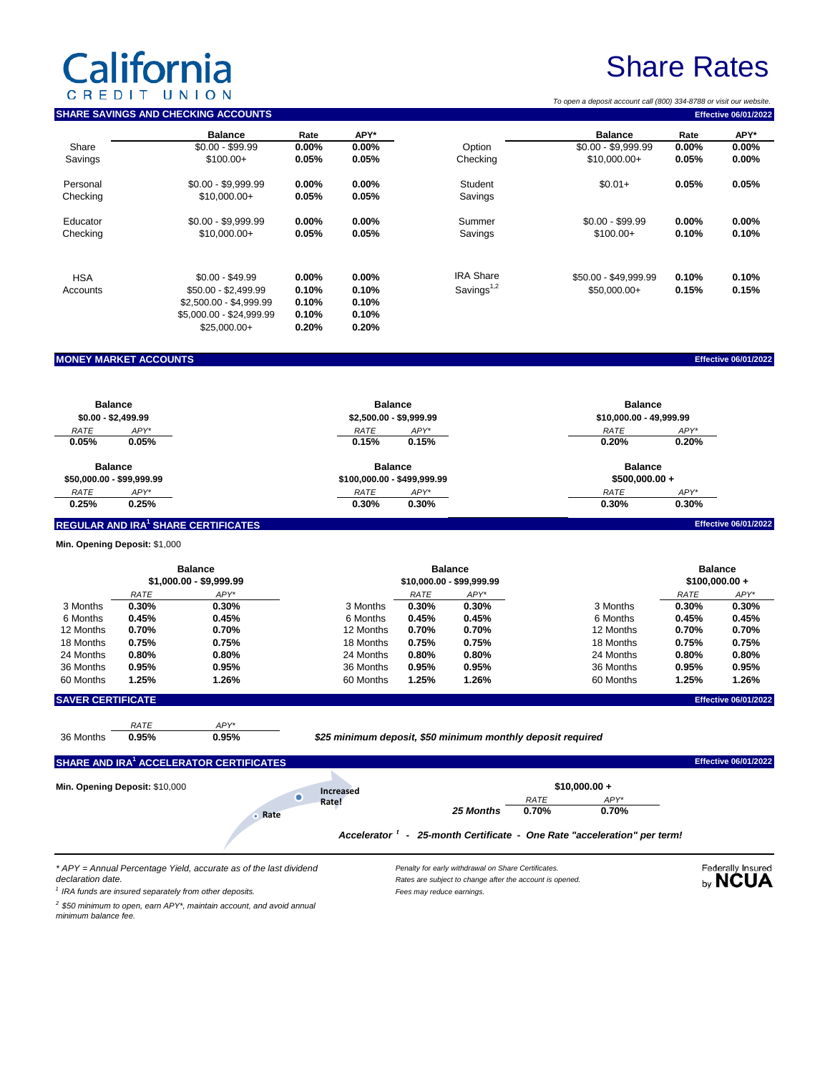# California

 $\overline{a}$ 

## Share Rates

| C                              | REDIT          | UNION<br><b>SHARE SAVINGS AND CHECKING ACCOUNTS</b> |                |                             |       |                                                             |                | To open a deposit account call (800) 334-8788 or visit our website |                  | <b>Effective 06/01/2022</b> |  |
|--------------------------------|----------------|-----------------------------------------------------|----------------|-----------------------------|-------|-------------------------------------------------------------|----------------|--------------------------------------------------------------------|------------------|-----------------------------|--|
|                                |                |                                                     |                |                             |       |                                                             |                |                                                                    |                  |                             |  |
| Share                          |                | <b>Balance</b><br>$$0.00 - $99.99$                  | Rate<br>0.00%  | APY*<br>$0.00\%$            |       | Option                                                      |                | <b>Balance</b><br>$$0.00 - $9,999.99$                              | Rate<br>$0.00\%$ | APY*<br>$0.00\%$            |  |
| Savings                        |                | $$100.00+$                                          | 0.05%          | 0.05%                       |       | Checking                                                    |                | $$10,000.00+$                                                      | 0.05%            | $0.00\%$                    |  |
|                                |                |                                                     |                |                             |       |                                                             |                |                                                                    |                  |                             |  |
| Personal                       |                | $$0.00 - $9,999.99$                                 | $0.00\%$       | 0.00%                       |       | Student                                                     |                | $$0.01+$                                                           | 0.05%            | 0.05%                       |  |
| Checking                       |                | \$10,000.00+                                        | 0.05%          | 0.05%                       |       | Savings                                                     |                |                                                                    |                  |                             |  |
| Educator                       |                | $$0.00 - $9,999.99$                                 | 0.00%          | 0.00%                       |       | Summer                                                      |                | $$0.00 - $99.99$                                                   | $0.00\%$         | 0.00%                       |  |
| Checking                       |                | \$10,000.00+                                        | 0.05%          | 0.05%                       |       | Savings                                                     |                | $$100.00+$                                                         | 0.10%            | 0.10%                       |  |
|                                |                |                                                     |                |                             |       |                                                             |                |                                                                    |                  |                             |  |
| <b>HSA</b>                     |                | $$0.00 - $49.99$                                    | $0.00\%$       | $0.00\%$                    |       | <b>IRA Share</b>                                            |                | \$50.00 - \$49,999.99                                              | 0.10%            | 0.10%                       |  |
| Accounts                       |                | \$50.00 - \$2,499.99                                | 0.10%          | 0.10%                       |       | Savings <sup>1,2</sup>                                      |                | \$50,000.00+                                                       | 0.15%            | 0.15%                       |  |
|                                |                | \$2,500.00 - \$4,999.99                             | 0.10%          | 0.10%                       |       |                                                             |                |                                                                    |                  |                             |  |
|                                |                | \$5,000.00 - \$24,999.99                            | 0.10%          | 0.10%                       |       |                                                             |                |                                                                    |                  |                             |  |
|                                |                | $$25,000.00+$                                       | 0.20%          | 0.20%                       |       |                                                             |                |                                                                    |                  |                             |  |
|                                |                |                                                     |                |                             |       |                                                             |                |                                                                    |                  |                             |  |
| <b>MONEY MARKET ACCOUNTS</b>   |                |                                                     |                |                             |       |                                                             |                |                                                                    |                  | <b>Effective 06/01/2022</b> |  |
|                                |                |                                                     |                |                             |       |                                                             |                |                                                                    |                  |                             |  |
| <b>Balance</b>                 |                |                                                     | <b>Balance</b> |                             |       |                                                             | <b>Balance</b> |                                                                    |                  |                             |  |
| $$0.00 - $2,499.99$            |                |                                                     |                | \$2,500.00 - \$9,999.99     |       |                                                             |                | \$10,000.00 - 49,999.99                                            |                  |                             |  |
| RATE                           | APY*           |                                                     |                | RATE                        | APY*  |                                                             |                | RATE                                                               | APY*             |                             |  |
| 0.05%                          | 0.05%          |                                                     |                | 0.15%                       | 0.15% |                                                             |                | 0.20%                                                              | 0.20%            |                             |  |
| <b>Balance</b>                 |                |                                                     |                | <b>Balance</b>              |       |                                                             |                | <b>Balance</b>                                                     |                  |                             |  |
| \$50,000.00 - \$99,999.99      |                |                                                     |                | \$100,000.00 - \$499,999.99 |       |                                                             |                | $$500,000.00 +$                                                    |                  |                             |  |
| RATE                           | APY*           |                                                     |                | RATE                        | APY*  |                                                             |                | RATE                                                               | APY*             |                             |  |
| 0.25%                          | 0.25%          |                                                     |                | 0.30%                       | 0.30% |                                                             |                | 0.30%                                                              | 0.30%            |                             |  |
|                                |                | REGULAR AND IRA <sup>1</sup> SHARE CERTIFICATES     |                |                             |       |                                                             |                |                                                                    |                  | <b>Effective 06/01/2022</b> |  |
| Min. Opening Deposit: \$1,000  |                |                                                     |                |                             |       |                                                             |                |                                                                    |                  |                             |  |
|                                | <b>Balance</b> |                                                     |                | <b>Balance</b>              |       |                                                             |                | <b>Balance</b>                                                     |                  |                             |  |
|                                |                | \$1,000.00 - \$9,999.99                             |                | \$10,000.00 - \$99,999.99   |       |                                                             |                | $$100,000.00 +$                                                    |                  |                             |  |
|                                | RATE           | APY*                                                |                |                             | RATE  | APY*                                                        |                |                                                                    | RATE             | APY*                        |  |
| 3 Months                       | 0.30%          | 0.30%                                               |                | 3 Months                    | 0.30% | 0.30%                                                       |                | 3 Months                                                           | 0.30%            | 0.30%                       |  |
| 6 Months                       | 0.45%          | 0.45%                                               |                | 6 Months                    | 0.45% | 0.45%                                                       |                | 6 Months                                                           | 0.45%            | 0.45%                       |  |
| 12 Months                      | 0.70%          | 0.70%                                               |                | 12 Months                   | 0.70% | 0.70%                                                       |                | 12 Months                                                          | 0.70%            | 0.70%                       |  |
| 18 Months                      | 0.75%          | 0.75%                                               |                | 18 Months                   | 0.75% | 0.75%                                                       |                | 18 Months                                                          | 0.75%            | 0.75%                       |  |
| 24 Months                      | 0.80%          | 0.80%                                               |                | 24 Months                   | 0.80% | 0.80%                                                       |                | 24 Months                                                          | 0.80%            | 0.80%                       |  |
| 36 Months                      | 0.95%          | 0.95%                                               |                | 36 Months                   | 0.95% | 0.95%                                                       |                | 36 Months                                                          | 0.95%            | 0.95%                       |  |
| 60 Months                      | 1.25%          | 1.26%                                               |                | 60 Months                   | 1.25% | 1.26%                                                       |                | 60 Months                                                          | 1.25%            | 1.26%                       |  |
| <b>SAVER CERTIFICATE</b>       |                |                                                     |                |                             |       |                                                             |                |                                                                    |                  | <b>Effective 06/01/2022</b> |  |
|                                | RATE           | APY*                                                |                |                             |       |                                                             |                |                                                                    |                  |                             |  |
| 36 Months                      | 0.95%          | 0.95%                                               |                |                             |       | \$25 minimum deposit, \$50 minimum monthly deposit required |                |                                                                    |                  |                             |  |
|                                |                | SHARE AND IRA <sup>1</sup> ACCELERATOR CERTIFICATES |                |                             |       |                                                             |                |                                                                    |                  | <b>Effective 06/01/2022</b> |  |
| Min. Opening Deposit: \$10,000 |                |                                                     |                |                             |       |                                                             |                |                                                                    |                  |                             |  |
|                                |                |                                                     | $\bullet$      | Increased<br>Rate!          |       |                                                             | RATE           | $$10,000.00 +$<br>APY*                                             |                  |                             |  |
|                                |                |                                                     |                |                             |       |                                                             |                |                                                                    |                  |                             |  |

*\* APY = Annual Percentage Yield, accurate as of the last dividend declaration date.*

*1 IRA funds are insured separately from other deposits.*

*2 \$50 minimum to open, earn APY\*, maintain account, and avoid annual minimum balance fee.*

*Penalty for early withdrawal on Share Certificates. Rates are subject to change after the account is opened. Fees may reduce earnings.*

*Accelerator <sup>t</sup> - 25-month Certificate - One Rate "acceleration" per term!*

Federally Insured<br>by NCUA